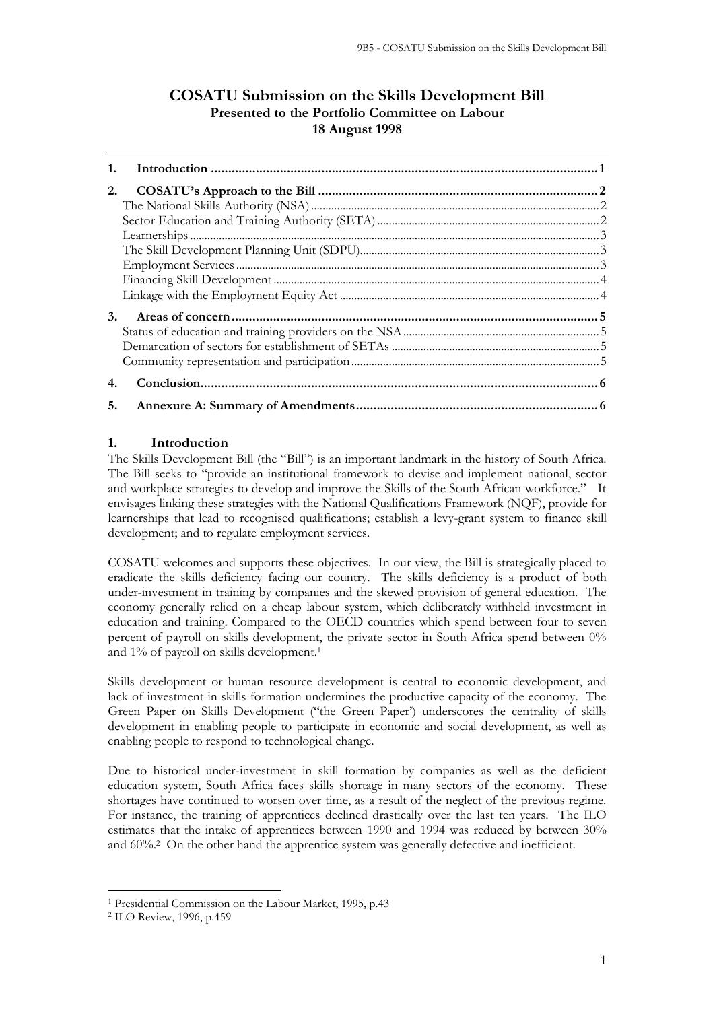# **COSATU Submission on the Skills Development Bill Presented to the Portfolio Committee on Labour 18 August 1998**

| 1. |  |
|----|--|
| 2. |  |
|    |  |
|    |  |
|    |  |
|    |  |
|    |  |
|    |  |
|    |  |
| 3. |  |
|    |  |
|    |  |
|    |  |
| 4. |  |
| 5. |  |

## <span id="page-0-0"></span>**1. Introduction**

The Skills Development Bill (the "Bill") is an important landmark in the history of South Africa. The Bill seeks to "provide an institutional framework to devise and implement national, sector and workplace strategies to develop and improve the Skills of the South African workforce." It envisages linking these strategies with the National Qualifications Framework (NQF), provide for learnerships that lead to recognised qualifications; establish a levy-grant system to finance skill development; and to regulate employment services.

COSATU welcomes and supports these objectives. In our view, the Bill is strategically placed to eradicate the skills deficiency facing our country. The skills deficiency is a product of both under-investment in training by companies and the skewed provision of general education. The economy generally relied on a cheap labour system, which deliberately withheld investment in education and training. Compared to the OECD countries which spend between four to seven percent of payroll on skills development, the private sector in South Africa spend between 0% and 1% of payroll on skills development.<sup>1</sup>

Skills development or human resource development is central to economic development, and lack of investment in skills formation undermines the productive capacity of the economy. The Green Paper on Skills Development ("the Green Paper') underscores the centrality of skills development in enabling people to participate in economic and social development, as well as enabling people to respond to technological change.

Due to historical under-investment in skill formation by companies as well as the deficient education system, South Africa faces skills shortage in many sectors of the economy. These shortages have continued to worsen over time, as a result of the neglect of the previous regime. For instance, the training of apprentices declined drastically over the last ten years. The ILO estimates that the intake of apprentices between 1990 and 1994 was reduced by between 30% and 60%.<sup>2</sup> On the other hand the apprentice system was generally defective and inefficient.

<sup>1</sup> Presidential Commission on the Labour Market, 1995, p.43

<sup>2</sup> ILO Review, 1996, p.459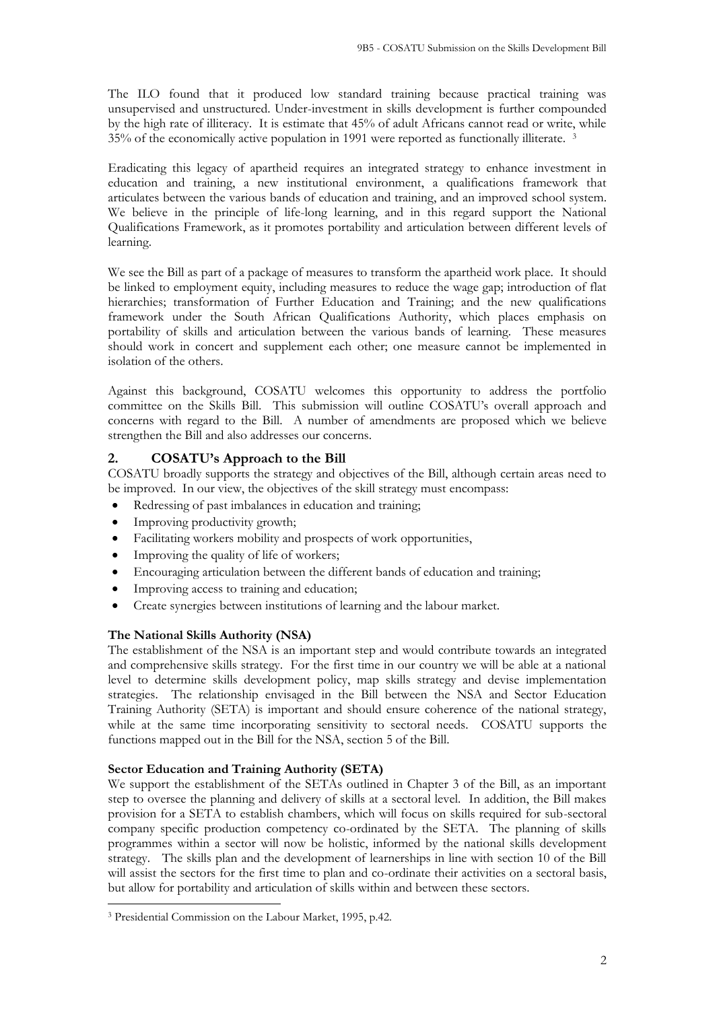The ILO found that it produced low standard training because practical training was unsupervised and unstructured. Under-investment in skills development is further compounded by the high rate of illiteracy. It is estimate that 45% of adult Africans cannot read or write, while 35% of the economically active population in 1991 were reported as functionally illiterate. <sup>3</sup>

Eradicating this legacy of apartheid requires an integrated strategy to enhance investment in education and training, a new institutional environment, a qualifications framework that articulates between the various bands of education and training, and an improved school system. We believe in the principle of life-long learning, and in this regard support the National Qualifications Framework, as it promotes portability and articulation between different levels of learning.

We see the Bill as part of a package of measures to transform the apartheid work place. It should be linked to employment equity, including measures to reduce the wage gap; introduction of flat hierarchies; transformation of Further Education and Training; and the new qualifications framework under the South African Qualifications Authority, which places emphasis on portability of skills and articulation between the various bands of learning. These measures should work in concert and supplement each other; one measure cannot be implemented in isolation of the others.

Against this background, COSATU welcomes this opportunity to address the portfolio committee on the Skills Bill. This submission will outline COSATU's overall approach and concerns with regard to the Bill. A number of amendments are proposed which we believe strengthen the Bill and also addresses our concerns.

## <span id="page-1-0"></span>**2. COSATU's Approach to the Bill**

COSATU broadly supports the strategy and objectives of the Bill, although certain areas need to be improved. In our view, the objectives of the skill strategy must encompass:

- Redressing of past imbalances in education and training;
- Improving productivity growth;
- Facilitating workers mobility and prospects of work opportunities,
- Improving the quality of life of workers;
- Encouraging articulation between the different bands of education and training;
- Improving access to training and education;
- Create synergies between institutions of learning and the labour market.

### <span id="page-1-1"></span>**The National Skills Authority (NSA)**

The establishment of the NSA is an important step and would contribute towards an integrated and comprehensive skills strategy. For the first time in our country we will be able at a national level to determine skills development policy, map skills strategy and devise implementation strategies. The relationship envisaged in the Bill between the NSA and Sector Education Training Authority (SETA) is important and should ensure coherence of the national strategy, while at the same time incorporating sensitivity to sectoral needs. COSATU supports the functions mapped out in the Bill for the NSA, section 5 of the Bill.

### <span id="page-1-2"></span>**Sector Education and Training Authority (SETA)**

We support the establishment of the SETAs outlined in Chapter 3 of the Bill, as an important step to oversee the planning and delivery of skills at a sectoral level. In addition, the Bill makes provision for a SETA to establish chambers, which will focus on skills required for sub-sectoral company specific production competency co-ordinated by the SETA. The planning of skills programmes within a sector will now be holistic, informed by the national skills development strategy. The skills plan and the development of learnerships in line with section 10 of the Bill will assist the sectors for the first time to plan and co-ordinate their activities on a sectoral basis, but allow for portability and articulation of skills within and between these sectors.

<sup>3</sup> Presidential Commission on the Labour Market, 1995, p.42.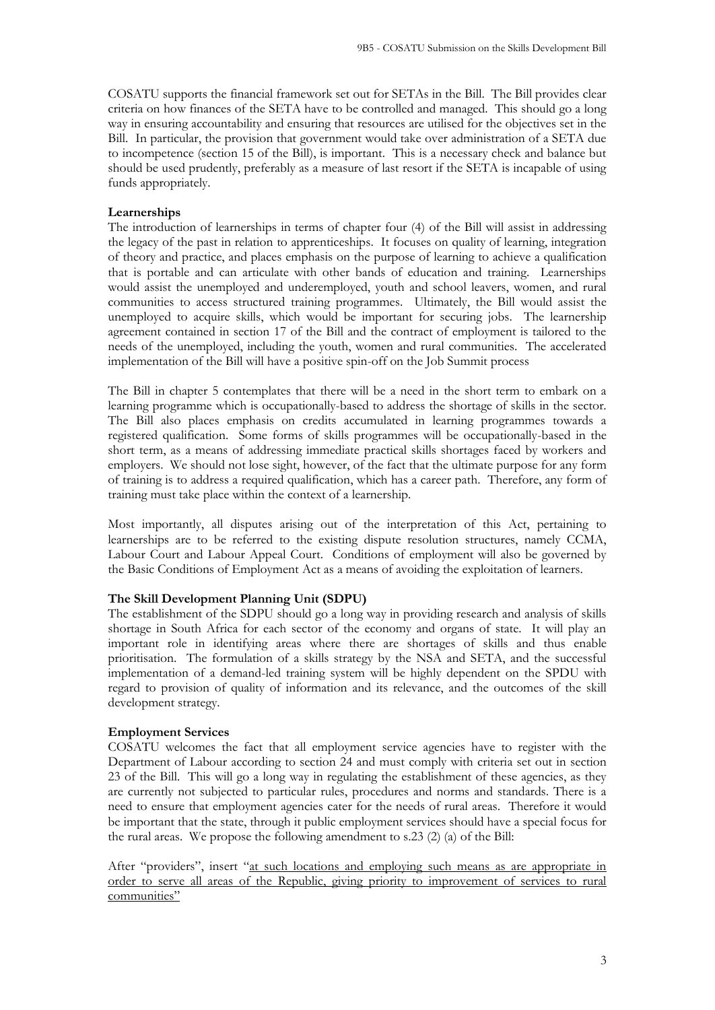COSATU supports the financial framework set out for SETAs in the Bill. The Bill provides clear criteria on how finances of the SETA have to be controlled and managed. This should go a long way in ensuring accountability and ensuring that resources are utilised for the objectives set in the Bill. In particular, the provision that government would take over administration of a SETA due to incompetence (section 15 of the Bill), is important. This is a necessary check and balance but should be used prudently, preferably as a measure of last resort if the SETA is incapable of using funds appropriately.

#### <span id="page-2-0"></span>**Learnerships**

The introduction of learnerships in terms of chapter four (4) of the Bill will assist in addressing the legacy of the past in relation to apprenticeships. It focuses on quality of learning, integration of theory and practice, and places emphasis on the purpose of learning to achieve a qualification that is portable and can articulate with other bands of education and training. Learnerships would assist the unemployed and underemployed, youth and school leavers, women, and rural communities to access structured training programmes. Ultimately, the Bill would assist the unemployed to acquire skills, which would be important for securing jobs. The learnership agreement contained in section 17 of the Bill and the contract of employment is tailored to the needs of the unemployed, including the youth, women and rural communities. The accelerated implementation of the Bill will have a positive spin-off on the Job Summit process

The Bill in chapter 5 contemplates that there will be a need in the short term to embark on a learning programme which is occupationally-based to address the shortage of skills in the sector. The Bill also places emphasis on credits accumulated in learning programmes towards a registered qualification. Some forms of skills programmes will be occupationally-based in the short term, as a means of addressing immediate practical skills shortages faced by workers and employers. We should not lose sight, however, of the fact that the ultimate purpose for any form of training is to address a required qualification, which has a career path. Therefore, any form of training must take place within the context of a learnership.

Most importantly, all disputes arising out of the interpretation of this Act, pertaining to learnerships are to be referred to the existing dispute resolution structures, namely CCMA, Labour Court and Labour Appeal Court. Conditions of employment will also be governed by the Basic Conditions of Employment Act as a means of avoiding the exploitation of learners.

#### <span id="page-2-1"></span>**The Skill Development Planning Unit (SDPU)**

The establishment of the SDPU should go a long way in providing research and analysis of skills shortage in South Africa for each sector of the economy and organs of state. It will play an important role in identifying areas where there are shortages of skills and thus enable prioritisation. The formulation of a skills strategy by the NSA and SETA, and the successful implementation of a demand-led training system will be highly dependent on the SPDU with regard to provision of quality of information and its relevance, and the outcomes of the skill development strategy.

#### <span id="page-2-2"></span>**Employment Services**

COSATU welcomes the fact that all employment service agencies have to register with the Department of Labour according to section 24 and must comply with criteria set out in section 23 of the Bill. This will go a long way in regulating the establishment of these agencies, as they are currently not subjected to particular rules, procedures and norms and standards. There is a need to ensure that employment agencies cater for the needs of rural areas. Therefore it would be important that the state, through it public employment services should have a special focus for the rural areas. We propose the following amendment to s.23 (2) (a) of the Bill:

After "providers", insert "at such locations and employing such means as are appropriate in order to serve all areas of the Republic, giving priority to improvement of services to rural communities"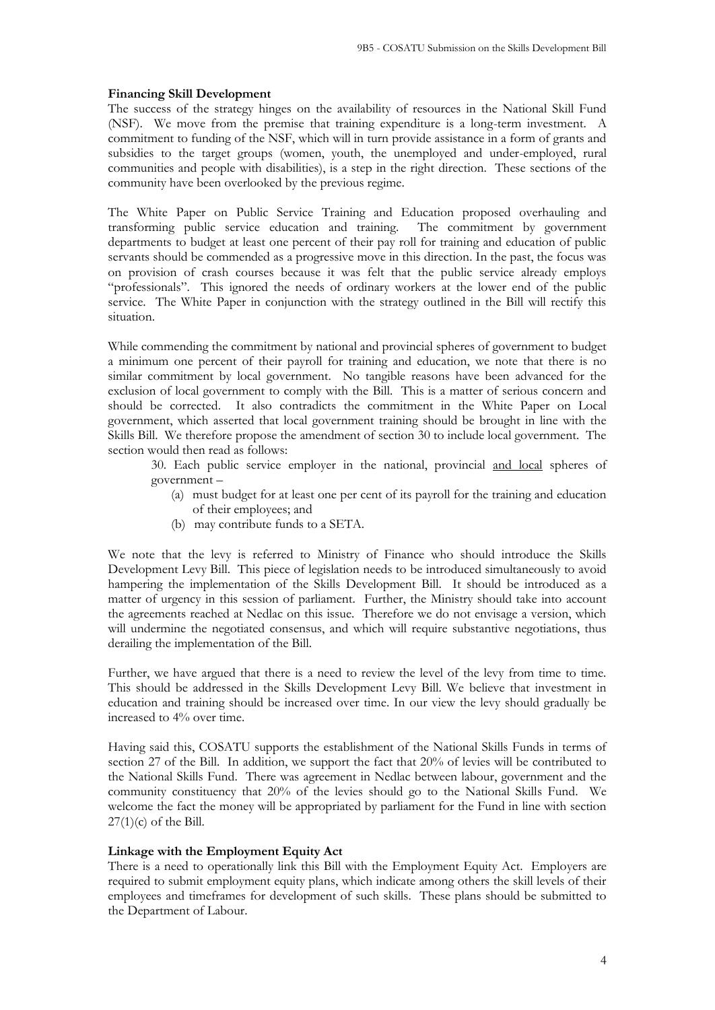#### <span id="page-3-0"></span>**Financing Skill Development**

The success of the strategy hinges on the availability of resources in the National Skill Fund (NSF). We move from the premise that training expenditure is a long-term investment. A commitment to funding of the NSF, which will in turn provide assistance in a form of grants and subsidies to the target groups (women, youth, the unemployed and under-employed, rural communities and people with disabilities), is a step in the right direction. These sections of the community have been overlooked by the previous regime.

The White Paper on Public Service Training and Education proposed overhauling and transforming public service education and training. The commitment by government departments to budget at least one percent of their pay roll for training and education of public servants should be commended as a progressive move in this direction. In the past, the focus was on provision of crash courses because it was felt that the public service already employs "professionals". This ignored the needs of ordinary workers at the lower end of the public service. The White Paper in conjunction with the strategy outlined in the Bill will rectify this situation.

While commending the commitment by national and provincial spheres of government to budget a minimum one percent of their payroll for training and education, we note that there is no similar commitment by local government. No tangible reasons have been advanced for the exclusion of local government to comply with the Bill. This is a matter of serious concern and should be corrected. It also contradicts the commitment in the White Paper on Local government, which asserted that local government training should be brought in line with the Skills Bill. We therefore propose the amendment of section 30 to include local government. The section would then read as follows:

30. Each public service employer in the national, provincial and local spheres of government –

- (a) must budget for at least one per cent of its payroll for the training and education of their employees; and
- (b) may contribute funds to a SETA.

We note that the levy is referred to Ministry of Finance who should introduce the Skills Development Levy Bill. This piece of legislation needs to be introduced simultaneously to avoid hampering the implementation of the Skills Development Bill. It should be introduced as a matter of urgency in this session of parliament. Further, the Ministry should take into account the agreements reached at Nedlac on this issue. Therefore we do not envisage a version, which will undermine the negotiated consensus, and which will require substantive negotiations, thus derailing the implementation of the Bill.

Further, we have argued that there is a need to review the level of the levy from time to time. This should be addressed in the Skills Development Levy Bill. We believe that investment in education and training should be increased over time. In our view the levy should gradually be increased to 4% over time.

Having said this, COSATU supports the establishment of the National Skills Funds in terms of section 27 of the Bill. In addition, we support the fact that 20% of levies will be contributed to the National Skills Fund. There was agreement in Nedlac between labour, government and the community constituency that 20% of the levies should go to the National Skills Fund. We welcome the fact the money will be appropriated by parliament for the Fund in line with section  $27(1)(c)$  of the Bill.

#### <span id="page-3-1"></span>**Linkage with the Employment Equity Act**

There is a need to operationally link this Bill with the Employment Equity Act. Employers are required to submit employment equity plans, which indicate among others the skill levels of their employees and timeframes for development of such skills. These plans should be submitted to the Department of Labour.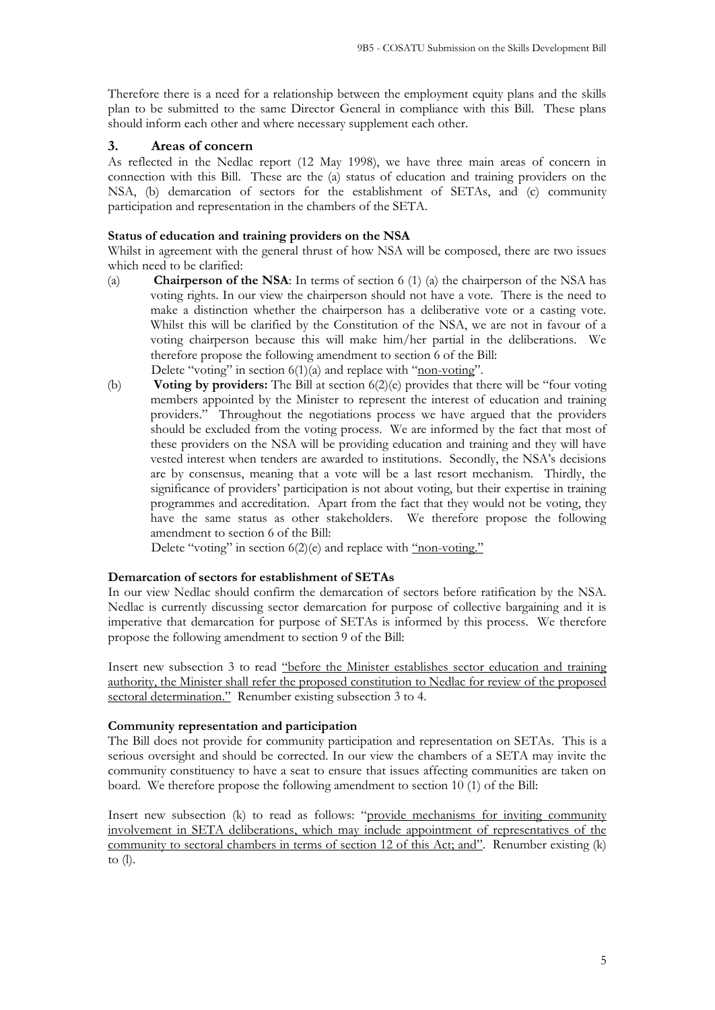Therefore there is a need for a relationship between the employment equity plans and the skills plan to be submitted to the same Director General in compliance with this Bill. These plans should inform each other and where necessary supplement each other.

### <span id="page-4-0"></span>**3. Areas of concern**

As reflected in the Nedlac report (12 May 1998), we have three main areas of concern in connection with this Bill. These are the (a) status of education and training providers on the NSA, (b) demarcation of sectors for the establishment of SETAs, and (c) community participation and representation in the chambers of the SETA.

### <span id="page-4-1"></span>**Status of education and training providers on the NSA**

Whilst in agreement with the general thrust of how NSA will be composed, there are two issues which need to be clarified:

- (a) **Chairperson of the NSA**: In terms of section 6 (1) (a) the chairperson of the NSA has voting rights. In our view the chairperson should not have a vote. There is the need to make a distinction whether the chairperson has a deliberative vote or a casting vote. Whilst this will be clarified by the Constitution of the NSA, we are not in favour of a voting chairperson because this will make him/her partial in the deliberations. We therefore propose the following amendment to section 6 of the Bill: Delete "voting" in section  $6(1)(a)$  and replace with "non-voting".
- (b) **Voting by providers:** The Bill at section 6(2)(e) provides that there will be "four voting members appointed by the Minister to represent the interest of education and training providers." Throughout the negotiations process we have argued that the providers should be excluded from the voting process. We are informed by the fact that most of these providers on the NSA will be providing education and training and they will have vested interest when tenders are awarded to institutions. Secondly, the NSA's decisions are by consensus, meaning that a vote will be a last resort mechanism. Thirdly, the significance of providers' participation is not about voting, but their expertise in training programmes and accreditation. Apart from the fact that they would not be voting, they have the same status as other stakeholders. We therefore propose the following amendment to section 6 of the Bill:

Delete "voting" in section 6(2)(e) and replace with "non-voting."

### <span id="page-4-2"></span>**Demarcation of sectors for establishment of SETAs**

In our view Nedlac should confirm the demarcation of sectors before ratification by the NSA. Nedlac is currently discussing sector demarcation for purpose of collective bargaining and it is imperative that demarcation for purpose of SETAs is informed by this process. We therefore propose the following amendment to section 9 of the Bill:

Insert new subsection 3 to read "before the Minister establishes sector education and training authority, the Minister shall refer the proposed constitution to Nedlac for review of the proposed sectoral determination." Renumber existing subsection 3 to 4.

### <span id="page-4-3"></span>**Community representation and participation**

The Bill does not provide for community participation and representation on SETAs. This is a serious oversight and should be corrected. In our view the chambers of a SETA may invite the community constituency to have a seat to ensure that issues affecting communities are taken on board. We therefore propose the following amendment to section 10 (1) of the Bill:

Insert new subsection (k) to read as follows: "provide mechanisms for inviting community involvement in SETA deliberations, which may include appointment of representatives of the community to sectoral chambers in terms of section 12 of this Act; and". Renumber existing (k) to (l).